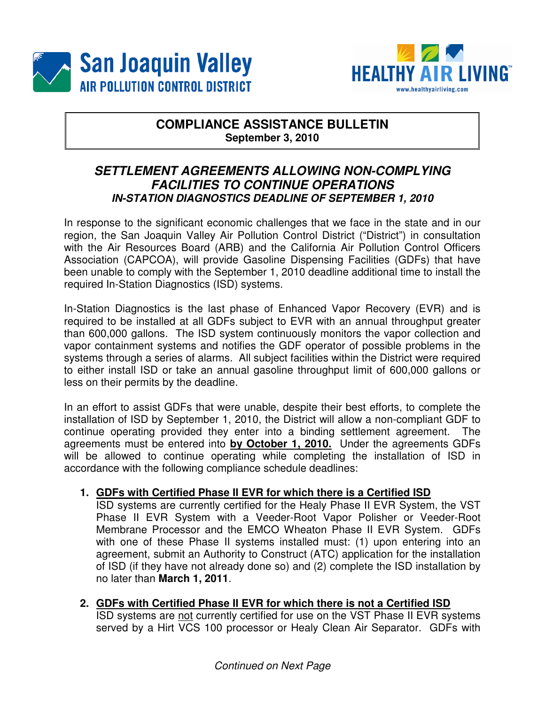



# **COMPLIANCE ASSISTANCE BULLETIN September 3, 2010**

# **SETTLEMENT AGREEMENTS ALLOWING NON-COMPLYING FACILITIES TO CONTINUE OPERATIONS IN-STATION DIAGNOSTICS DEADLINE OF SEPTEMBER 1, 2010**

In response to the significant economic challenges that we face in the state and in our region, the San Joaquin Valley Air Pollution Control District ("District") in consultation with the Air Resources Board (ARB) and the California Air Pollution Control Officers Association (CAPCOA), will provide Gasoline Dispensing Facilities (GDFs) that have been unable to comply with the September 1, 2010 deadline additional time to install the required In-Station Diagnostics (ISD) systems.

In-Station Diagnostics is the last phase of Enhanced Vapor Recovery (EVR) and is required to be installed at all GDFs subject to EVR with an annual throughput greater than 600,000 gallons. The ISD system continuously monitors the vapor collection and vapor containment systems and notifies the GDF operator of possible problems in the systems through a series of alarms. All subject facilities within the District were required to either install ISD or take an annual gasoline throughput limit of 600,000 gallons or less on their permits by the deadline.

In an effort to assist GDFs that were unable, despite their best efforts, to complete the installation of ISD by September 1, 2010, the District will allow a non-compliant GDF to continue operating provided they enter into a binding settlement agreement. The agreements must be entered into **by October 1, 2010.** Under the agreements GDFs will be allowed to continue operating while completing the installation of ISD in accordance with the following compliance schedule deadlines:

## **1. GDFs with Certified Phase II EVR for which there is a Certified ISD**

ISD systems are currently certified for the Healy Phase II EVR System, the VST Phase II EVR System with a Veeder-Root Vapor Polisher or Veeder-Root Membrane Processor and the EMCO Wheaton Phase II EVR System. GDFs with one of these Phase II systems installed must: (1) upon entering into an agreement, submit an Authority to Construct (ATC) application for the installation of ISD (if they have not already done so) and (2) complete the ISD installation by no later than **March 1, 2011**.

## **2. GDFs with Certified Phase II EVR for which there is not a Certified ISD**

ISD systems are not currently certified for use on the VST Phase II EVR systems served by a Hirt VCS 100 processor or Healy Clean Air Separator. GDFs with